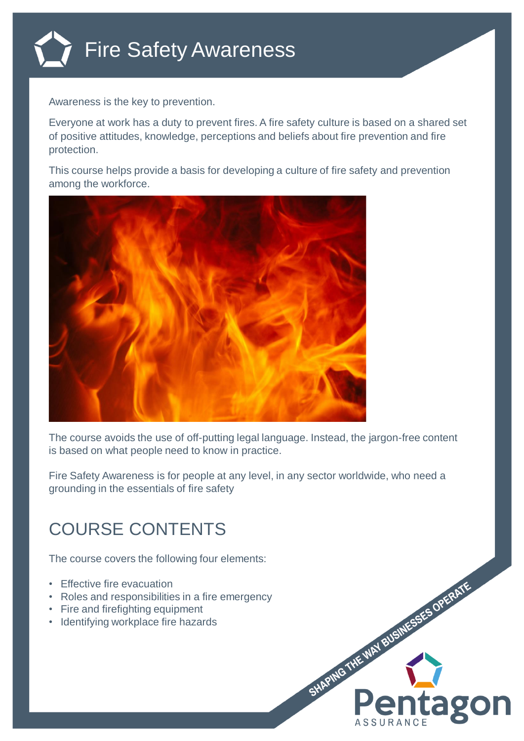

Awareness is the key to prevention.

Everyone at work has a duty to prevent fires. A fire safety culture is based on a shared set of positive attitudes, knowledge, perceptions and beliefs about fire prevention and fire protection.

This course helps provide a basis for developing a culture of fire safety and prevention among the workforce.



The course avoids the use of off-putting legal language. Instead, the jargon-free content is based on what people need to know in practice.

Fire Safety Awareness is for people at any level, in any sector worldwide, who need a grounding in the essentials of fire safety

## COURSE CONTENTS

The course covers the following four elements:

- Effective fire evacuation
- Roles and responsibilities in a fire emergency
- Fire and firefighting equipment
- Identifying workplace fire hazards